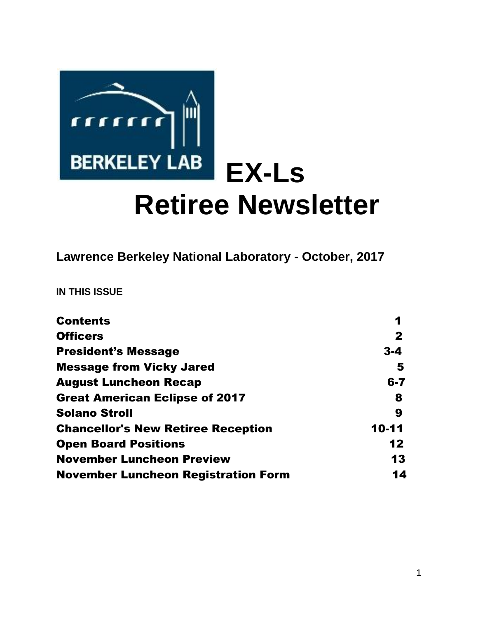

**Lawrence Berkeley National Laboratory - October, 2017** 

**IN THIS ISSUE** 

| <b>Contents</b>                            | 1           |
|--------------------------------------------|-------------|
| <b>Officers</b>                            | $\mathbf 2$ |
| <b>President's Message</b>                 | $3 - 4$     |
| <b>Message from Vicky Jared</b>            | 5           |
| <b>August Luncheon Recap</b>               | $6 - 7$     |
| <b>Great American Eclipse of 2017</b>      | 8           |
| <b>Solano Stroll</b>                       | 9           |
| <b>Chancellor's New Retiree Reception</b>  | 10-11       |
| <b>Open Board Positions</b>                | 12          |
| <b>November Luncheon Preview</b>           | 13          |
| <b>November Luncheon Registration Form</b> | 14          |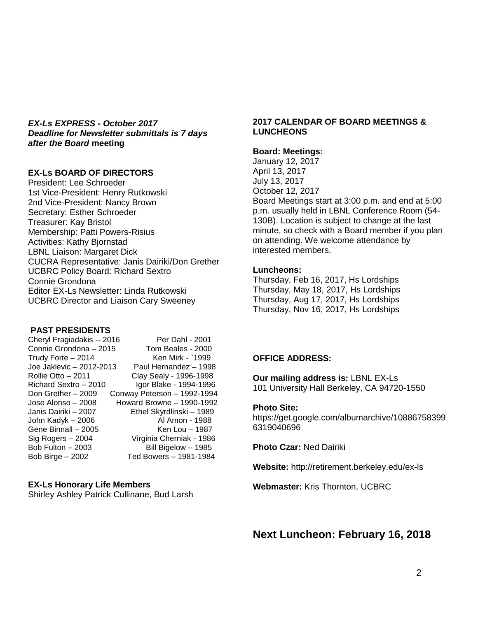*EX-Ls EXPRESS - October 2017 Deadline for Newsletter submittals is 7 days after the Board* **meeting**

#### **EX-Ls BOARD OF DIRECTORS**

President: Lee Schroeder 1st Vice-President: Henry Rutkowski 2nd Vice-President: Nancy Brown Secretary: Esther Schroeder Treasurer: Kay Bristol Membership: Patti Powers-Risius Activities: Kathy Bjornstad LBNL Liaison: Margaret Dick CUCRA Representative: Janis Dairiki/Don Grether UCBRC Policy Board: Richard Sextro Connie Grondona Editor EX-Ls Newsletter: Linda Rutkowski UCBRC Director and Liaison Cary Sweeney

#### **PAST PRESIDENTS**

| Cheryl Fragiadakis -- 2016 | Per Dahl - 2001             |
|----------------------------|-----------------------------|
| Connie Grondona - 2015     | Tom Beales - 2000           |
| Trudy Forte - 2014         | Ken Mirk - `1999            |
| Joe Jaklevic - 2012-2013   | Paul Hernandez - 1998       |
| Rollie Otto – 2011         | Clay Sealy - 1996-1998      |
| Richard Sextro - 2010      | Igor Blake - 1994-1996      |
| Don Grether - 2009         | Conway Peterson - 1992-1994 |
| Jose Alonso – 2008         | Howard Browne - 1990-1992   |
| Janis Dairiki – 2007       | Ethel Skyrdlinski - 1989    |
| John Kadyk - 2006          | Al Amon - 1988              |
| Gene Binnall - 2005        | Ken Lou - 1987              |
| Sig Rogers – 2004          | Virginia Cherniak - 1986    |
| Bob Fulton - 2003          | Bill Bigelow - 1985         |
| Bob Birge - 2002           | Ted Bowers - 1981-1984      |

#### **EX-Ls Honorary Life Members**

Shirley Ashley Patrick Cullinane, Bud Larsh

#### **2017 CALENDAR OF BOARD MEETINGS & LUNCHEONS**

#### **Board: Meetings:**

January 12, 2017 April 13, 2017 July 13, 2017 October 12, 2017 Board Meetings start at 3:00 p.m. and end at 5:00 p.m. usually held in LBNL Conference Room (54- 130B). Location is subject to change at the last minute, so check with a Board member if you plan on attending. We welcome attendance by interested members.

#### **Luncheons:**

Thursday, Feb 16, 2017, Hs Lordships Thursday, May 18, 2017, Hs Lordships Thursday, Aug 17, 2017, Hs Lordships Thursday, Nov 16, 2017, Hs Lordships

#### **OFFICE ADDRESS:**

**Our mailing address is:** LBNL EX-Ls 101 University Hall Berkeley, CA 94720-1550

#### **Photo Site:**

https://get.google.com/albumarchive/10886758399 6319040696

**Photo Czar:** Ned Dairiki

**Website:** http://retirement.berkeley.edu/ex-ls

**Webmaster:** Kris Thornton, UCBRC

**Next Luncheon: February 16, 2018**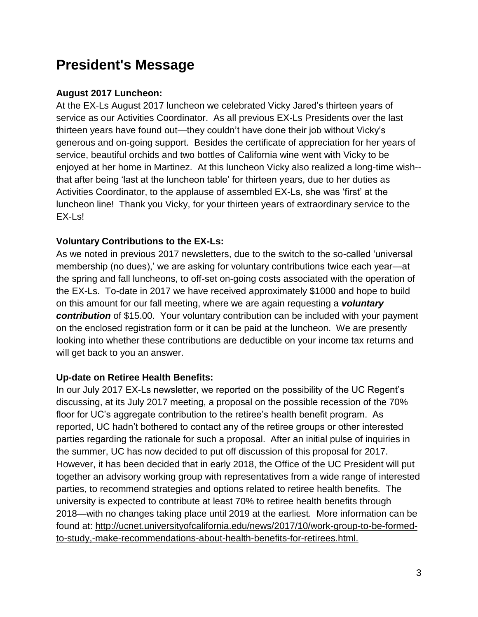# **President's Message**

## **August 2017 Luncheon:**

At the EX-Ls August 2017 luncheon we celebrated Vicky Jared's thirteen years of service as our Activities Coordinator. As all previous EX-Ls Presidents over the last thirteen years have found out—they couldn't have done their job without Vicky's generous and on-going support. Besides the certificate of appreciation for her years of service, beautiful orchids and two bottles of California wine went with Vicky to be enjoyed at her home in Martinez. At this luncheon Vicky also realized a long-time wish- that after being 'last at the luncheon table' for thirteen years, due to her duties as Activities Coordinator, to the applause of assembled EX-Ls, she was 'first' at the luncheon line! Thank you Vicky, for your thirteen years of extraordinary service to the EX-Ls!

## **Voluntary Contributions to the EX-Ls:**

As we noted in previous 2017 newsletters, due to the switch to the so-called 'universal membership (no dues),' we are asking for voluntary contributions twice each year—at the spring and fall luncheons, to off-set on-going costs associated with the operation of the EX-Ls. To-date in 2017 we have received approximately \$1000 and hope to build on this amount for our fall meeting, where we are again requesting a *voluntary contribution* of \$15.00. Your voluntary contribution can be included with your payment on the enclosed registration form or it can be paid at the luncheon. We are presently looking into whether these contributions are deductible on your income tax returns and will get back to you an answer.

### **Up-date on Retiree Health Benefits:**

In our July 2017 EX-Ls newsletter, we reported on the possibility of the UC Regent's discussing, at its July 2017 meeting, a proposal on the possible recession of the 70% floor for UC's aggregate contribution to the retiree's health benefit program. As reported, UC hadn't bothered to contact any of the retiree groups or other interested parties regarding the rationale for such a proposal. After an initial pulse of inquiries in the summer, UC has now decided to put off discussion of this proposal for 2017. However, it has been decided that in early 2018, the Office of the UC President will put together an advisory working group with representatives from a wide range of interested parties, to recommend strategies and options related to retiree health benefits. The university is expected to contribute at least 70% to retiree health benefits through 2018—with no changes taking place until 2019 at the earliest. More information can be found at: http://ucnet.universityofcalifornia.edu/news/2017/10/work-group-to-be-formedto-study,-make-recommendations-about-health-benefits-for-retirees.html.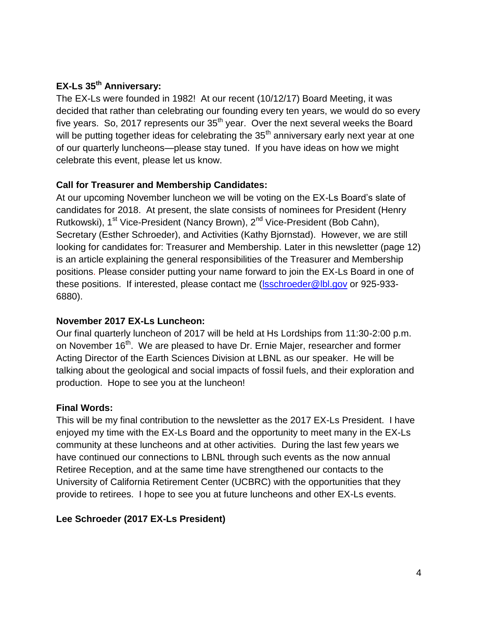## **EX-Ls 35th Anniversary:**

The EX-Ls were founded in 1982! At our recent (10/12/17) Board Meeting, it was decided that rather than celebrating our founding every ten years, we would do so every five years. So, 2017 represents our 35<sup>th</sup> year. Over the next several weeks the Board will be putting together ideas for celebrating the  $35<sup>th</sup>$  anniversary early next year at one of our quarterly luncheons—please stay tuned. If you have ideas on how we might celebrate this event, please let us know.

## **Call for Treasurer and Membership Candidates:**

At our upcoming November luncheon we will be voting on the EX-Ls Board's slate of candidates for 2018. At present, the slate consists of nominees for President (Henry Rutkowski), 1<sup>st</sup> Vice-President (Nancy Brown), 2<sup>nd</sup> Vice-President (Bob Cahn), Secretary (Esther Schroeder), and Activities (Kathy Bjornstad). However, we are still looking for candidates for: Treasurer and Membership. Later in this newsletter (page 12) is an article explaining the general responsibilities of the Treasurer and Membership positions. Please consider putting your name forward to join the EX-Ls Board in one of these positions. If interested, please contact me [\(lsschroeder@lbl.gov](mailto:lsschroeder@lbl.gov) or 925-933- 6880).

### **November 2017 EX-Ls Luncheon:**

Our final quarterly luncheon of 2017 will be held at Hs Lordships from 11:30-2:00 p.m. on November 16<sup>th</sup>. We are pleased to have Dr. Ernie Majer, researcher and former Acting Director of the Earth Sciences Division at LBNL as our speaker. He will be talking about the geological and social impacts of fossil fuels, and their exploration and production. Hope to see you at the luncheon!

## **Final Words:**

This will be my final contribution to the newsletter as the 2017 EX-Ls President. I have enjoyed my time with the EX-Ls Board and the opportunity to meet many in the EX-Ls community at these luncheons and at other activities. During the last few years we have continued our connections to LBNL through such events as the now annual Retiree Reception, and at the same time have strengthened our contacts to the University of California Retirement Center (UCBRC) with the opportunities that they provide to retirees. I hope to see you at future luncheons and other EX-Ls events.

## **Lee Schroeder (2017 EX-Ls President)**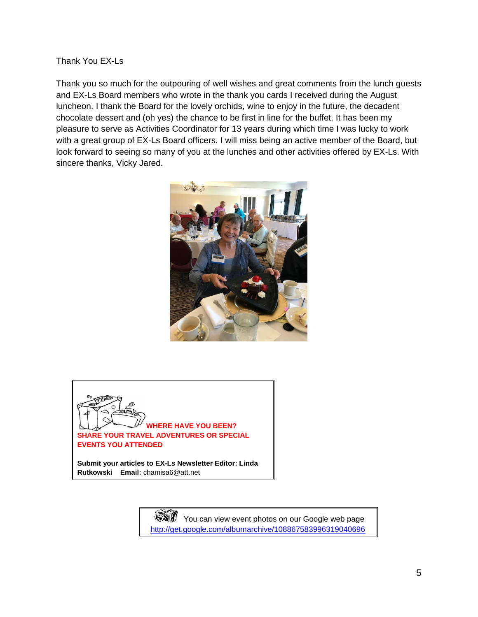#### Thank You EX-Ls

Thank you so much for the outpouring of well wishes and great comments from the lunch guests and EX-Ls Board members who wrote in the thank you cards I received during the August luncheon. I thank the Board for the lovely orchids, wine to enjoy in the future, the decadent chocolate dessert and (oh yes) the chance to be first in line for the buffet. It has been my pleasure to serve as Activities Coordinator for 13 years during which time I was lucky to work with a great group of EX-Ls Board officers. I will miss being an active member of the Board, but look forward to seeing so many of you at the lunches and other activities offered by EX-Ls. With sincere thanks, Vicky Jared.





**Submit your articles to EX-Ls Newsletter Editor: Linda Rutkowski Email:** chamisa6@att.net

> You can view event photos on our Google web page <http://get.google.com/albumarchive/108867583996319040696>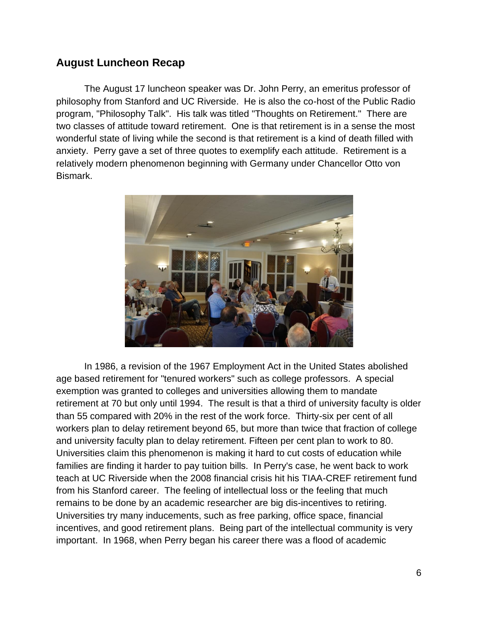## **August Luncheon Recap**

The August 17 luncheon speaker was Dr. John Perry, an emeritus professor of philosophy from Stanford and UC Riverside. He is also the co-host of the Public Radio program, "Philosophy Talk". His talk was titled "Thoughts on Retirement." There are two classes of attitude toward retirement. One is that retirement is in a sense the most wonderful state of living while the second is that retirement is a kind of death filled with anxiety. Perry gave a set of three quotes to exemplify each attitude. Retirement is a relatively modern phenomenon beginning with Germany under Chancellor Otto von Bismark.



In 1986, a revision of the 1967 Employment Act in the United States abolished age based retirement for "tenured workers" such as college professors. A special exemption was granted to colleges and universities allowing them to mandate retirement at 70 but only until 1994. The result is that a third of university faculty is older than 55 compared with 20% in the rest of the work force. Thirty-six per cent of all workers plan to delay retirement beyond 65, but more than twice that fraction of college and university faculty plan to delay retirement. Fifteen per cent plan to work to 80. Universities claim this phenomenon is making it hard to cut costs of education while families are finding it harder to pay tuition bills. In Perry's case, he went back to work teach at UC Riverside when the 2008 financial crisis hit his TIAA-CREF retirement fund from his Stanford career. The feeling of intellectual loss or the feeling that much remains to be done by an academic researcher are big dis-incentives to retiring. Universities try many inducements, such as free parking, office space, financial incentives, and good retirement plans. Being part of the intellectual community is very important. In 1968, when Perry began his career there was a flood of academic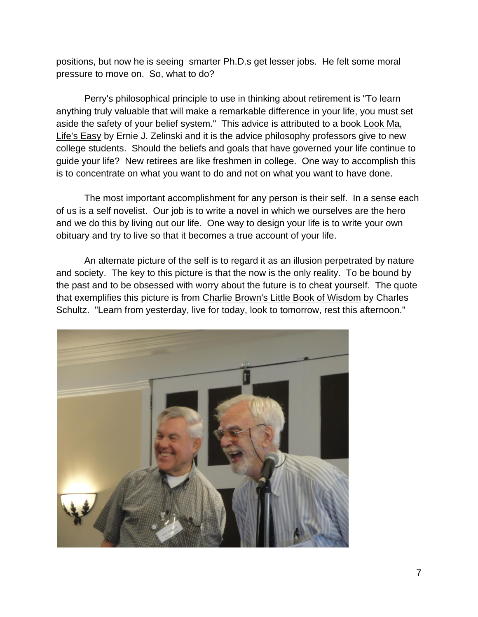positions, but now he is seeing smarter Ph.D.s get lesser jobs. He felt some moral pressure to move on. So, what to do?

Perry's philosophical principle to use in thinking about retirement is "To learn anything truly valuable that will make a remarkable difference in your life, you must set aside the safety of your belief system." This advice is attributed to a book Look Ma, Life's Easy by Ernie J. Zelinski and it is the advice philosophy professors give to new college students. Should the beliefs and goals that have governed your life continue to guide your life? New retirees are like freshmen in college. One way to accomplish this is to concentrate on what you want to do and not on what you want to have done.

The most important accomplishment for any person is their self. In a sense each of us is a self novelist. Our job is to write a novel in which we ourselves are the hero and we do this by living out our life. One way to design your life is to write your own obituary and try to live so that it becomes a true account of your life.

An alternate picture of the self is to regard it as an illusion perpetrated by nature and society. The key to this picture is that the now is the only reality. To be bound by the past and to be obsessed with worry about the future is to cheat yourself. The quote that exemplifies this picture is from Charlie Brown's Little Book of Wisdom by Charles Schultz. "Learn from yesterday, live for today, look to tomorrow, rest this afternoon."

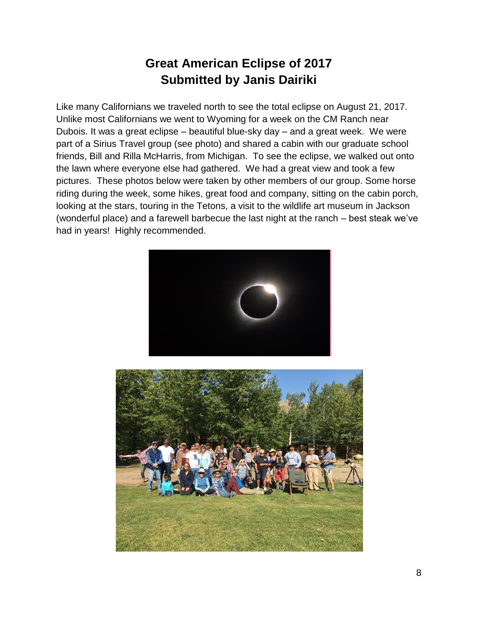## **Great American Eclipse of 2017 Submitted by Janis Dairiki**

Like many Californians we traveled north to see the total eclipse on August 21, 2017. Unlike most Californians we went to Wyoming for a week on the CM Ranch near Dubois. It was a great eclipse – beautiful blue-sky day – and a great week. We were part of a Sirius Travel group (see photo) and shared a cabin with our graduate school friends, Bill and Rilla McHarris, from Michigan. To see the eclipse, we walked out onto the lawn where everyone else had gathered. We had a great view and took a few pictures. These photos below were taken by other members of our group. Some horse riding during the week, some hikes, great food and company, sitting on the cabin porch, looking at the stars, touring in the Tetons, a visit to the wildlife art museum in Jackson (wonderful place) and a farewell barbecue the last night at the ranch – best steak we've had in years! Highly recommended.



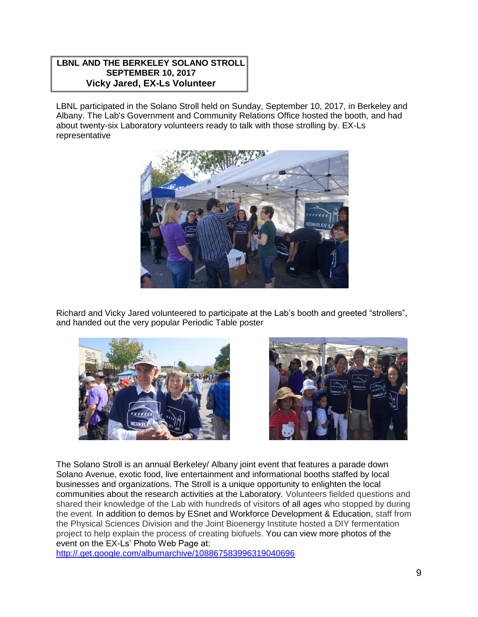#### **LBNL AND THE BERKELEY SOLANO STROLL SEPTEMBER 10, 2017 Vicky Jared, EX-Ls Volunteer**

LBNL participated in the Solano Stroll held on Sunday, September 10, 2017, in Berkeley and Albany. The Lab's Government and Community Relations Office hosted the booth, and had about twenty-six Laboratory volunteers ready to talk with those strolling by. EX-Ls representative



Richard and Vicky Jared volunteered to participate at the Lab's booth and greeted "strollers", and handed out the very popular Periodic Table poster





The Solano Stroll is an annual Berkeley/ Albany joint event that features a parade down Solano Avenue, exotic food, live entertainment and informational booths staffed by local businesses and organizations. The Stroll is a unique opportunity to enlighten the local communities about the research activities at the Laboratory. Volunteers fielded questions and shared their knowledge of the Lab with hundreds of visitors of all ages who stopped by during the event. In addition to demos by ESnet and Workforce Development & Education, staff from the Physical Sciences Division and the Joint Bioenergy Institute hosted a DIY fermentation project to help explain the process of creating biofuels. You can view more photos of the event on the EX-Ls' Photo Web Page at:

<http://.get.google.com/albumarchive/108867583996319040696>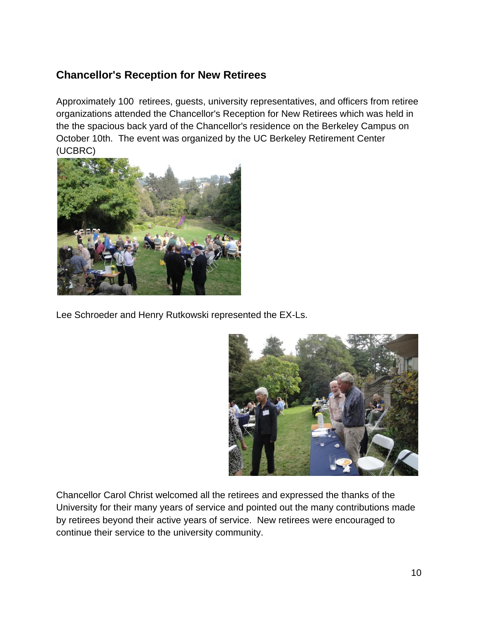## **Chancellor's Reception for New Retirees**

Approximately 100 retirees, guests, university representatives, and officers from retiree organizations attended the Chancellor's Reception for New Retirees which was held in the the spacious back yard of the Chancellor's residence on the Berkeley Campus on October 10th. The event was organized by the UC Berkeley Retirement Center (UCBRC)



Lee Schroeder and Henry Rutkowski represented the EX-Ls.



Chancellor Carol Christ welcomed all the retirees and expressed the thanks of the University for their many years of service and pointed out the many contributions made by retirees beyond their active years of service. New retirees were encouraged to continue their service to the university community.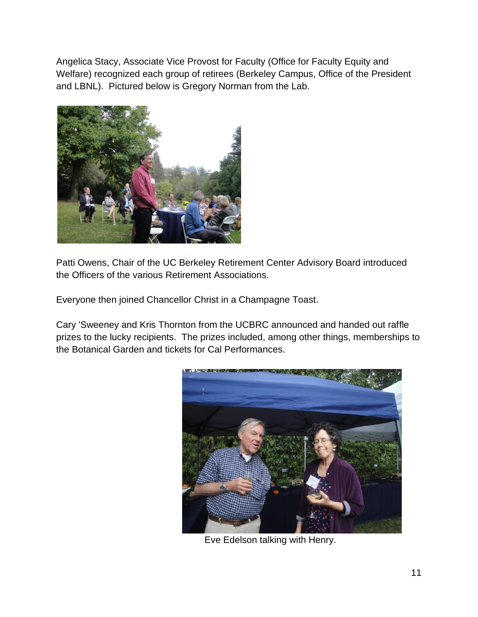Angelica Stacy, Associate Vice Provost for Faculty (Office for Faculty Equity and Welfare) recognized each group of retirees (Berkeley Campus, Office of the President and LBNL). Pictured below is Gregory Norman from the Lab.



Patti Owens, Chair of the UC Berkeley Retirement Center Advisory Board introduced the Officers of the various Retirement Associations.

Everyone then joined Chancellor Christ in a Champagne Toast.

Cary 'Sweeney and Kris Thornton from the UCBRC announced and handed out raffle prizes to the lucky recipients. The prizes included, among other things, memberships to the Botanical Garden and tickets for Cal Performances.



Eve Edelson talking with Henry.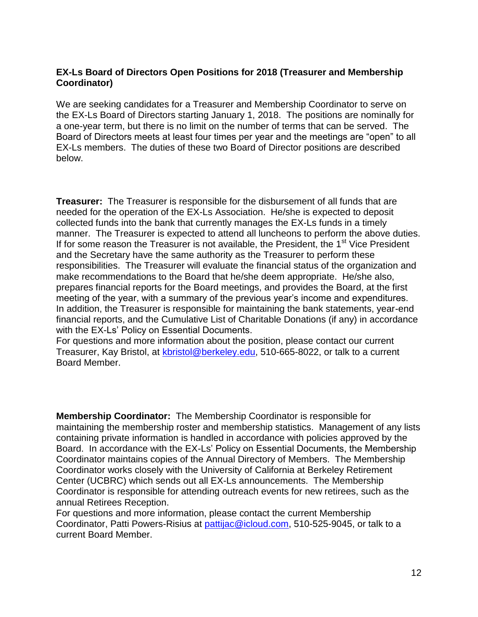### **EX-Ls Board of Directors Open Positions for 2018 (Treasurer and Membership Coordinator)**

We are seeking candidates for a Treasurer and Membership Coordinator to serve on the EX-Ls Board of Directors starting January 1, 2018. The positions are nominally for a one-year term, but there is no limit on the number of terms that can be served. The Board of Directors meets at least four times per year and the meetings are "open" to all EX-Ls members. The duties of these two Board of Director positions are described below.

**Treasurer:** The Treasurer is responsible for the disbursement of all funds that are needed for the operation of the EX-Ls Association. He/she is expected to deposit collected funds into the bank that currently manages the EX-Ls funds in a timely manner. The Treasurer is expected to attend all luncheons to perform the above duties. If for some reason the Treasurer is not available, the President, the  $1<sup>st</sup>$  Vice President and the Secretary have the same authority as the Treasurer to perform these responsibilities. The Treasurer will evaluate the financial status of the organization and make recommendations to the Board that he/she deem appropriate. He/she also, prepares financial reports for the Board meetings, and provides the Board, at the first meeting of the year, with a summary of the previous year's income and expenditures. In addition, the Treasurer is responsible for maintaining the bank statements, year-end financial reports, and the Cumulative List of Charitable Donations (if any) in accordance with the EX-Ls' Policy on Essential Documents.

For questions and more information about the position, please contact our current Treasurer, Kay Bristol, at [kbristol@berkeley.edu,](mailto:kbristol@berkeley.edu) 510-665-8022, or talk to a current Board Member.

**Membership Coordinator:** The Membership Coordinator is responsible for maintaining the membership roster and membership statistics. Management of any lists containing private information is handled in accordance with policies approved by the Board. In accordance with the EX-Ls' Policy on Essential Documents, the Membership Coordinator maintains copies of the Annual Directory of Members. The Membership Coordinator works closely with the University of California at Berkeley Retirement Center (UCBRC) which sends out all EX-Ls announcements. The Membership Coordinator is responsible for attending outreach events for new retirees, such as the annual Retirees Reception.

For questions and more information, please contact the current Membership Coordinator, Patti Powers-Risius at [pattijac@icloud.com,](mailto:pattijac@icloud.com) 510-525-9045, or talk to a current Board Member.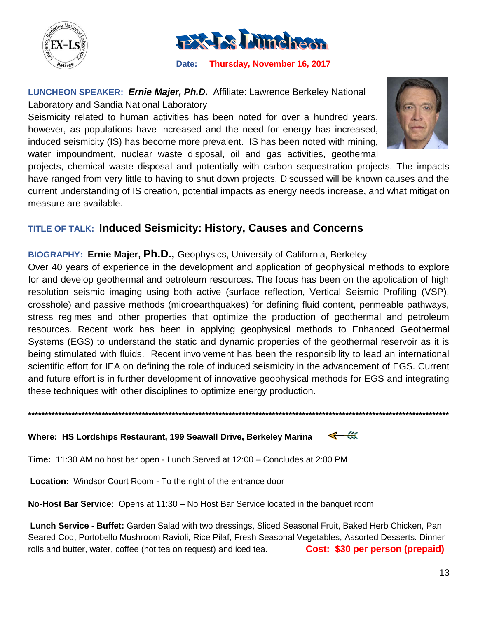



 **Date: Thursday, November 16, 2017**

**LUNCHEON SPEAKER:** *Ernie Majer, Ph.D.* Affiliate: Lawrence Berkeley National Laboratory and Sandia National Laboratory

Seismicity related to human activities has been noted for over a hundred years, however, as populations have increased and the need for energy has increased, induced seismicity (IS) has become more prevalent. IS has been noted with mining, water impoundment, nuclear waste disposal, oil and gas activities, geothermal



projects, chemical waste disposal and potentially with carbon sequestration projects. The impacts have ranged from very little to having to shut down projects. Discussed will be known causes and the current understanding of IS creation, potential impacts as energy needs increase, and what mitigation measure are available.

## **TITLE OF TALK: Induced Seismicity: History, Causes and Concerns**

**BIOGRAPHY: Ernie Majer, Ph.D.,** Geophysics, University of California, Berkeley

Over 40 years of experience in the development and application of geophysical methods to explore for and develop geothermal and petroleum resources. The focus has been on the application of high resolution seismic imaging using both active (surface reflection, Vertical Seismic Profiling (VSP), crosshole) and passive methods (microearthquakes) for defining fluid content, permeable pathways, stress regimes and other properties that optimize the production of geothermal and petroleum resources. Recent work has been in applying geophysical methods to Enhanced Geothermal Systems (EGS) to understand the static and dynamic properties of the geothermal reservoir as it is being stimulated with fluids. Recent involvement has been the responsibility to lead an international scientific effort for IEA on defining the role of induced seismicity in the advancement of EGS. Current and future effort is in further development of innovative geophysical methods for EGS and integrating these techniques with other disciplines to optimize energy production.

**\*\*\*\*\*\*\*\*\*\*\*\*\*\*\*\*\*\*\*\*\*\*\*\*\*\*\*\*\*\*\*\*\*\*\*\*\*\*\*\*\*\*\*\*\*\*\*\*\*\*\*\*\*\*\*\*\*\*\*\*\*\*\*\*\*\*\*\*\*\*\*\*\*\*\*\*\*\*\*\*\*\*\*\*\*\*\*\*\*\*\*\*\*\*\*\*\*\*\*\*\*\*\*\*\*\*\*\*\*\*\*\*\*\*\*\*\*\*\*\*\*\*\*\*\*\***

#### $\leftarrow$ **Where: HS Lordships Restaurant, 199 Seawall Drive, Berkeley Marina**

**Time:** 11:30 AM no host bar open - Lunch Served at 12:00 – Concludes at 2:00 PM

**Location:** Windsor Court Room - To the right of the entrance door

**No-Host Bar Service:** Opens at 11:30 – No Host Bar Service located in the banquet room

**Lunch Service - Buffet:** Garden Salad with two dressings, Sliced Seasonal Fruit, Baked Herb Chicken, Pan Seared Cod, Portobello Mushroom Ravioli, Rice Pilaf, Fresh Seasonal Vegetables, Assorted Desserts. Dinner rolls and butter, water, coffee (hot tea on request) and iced tea. **Cost: \$30 per person (prepaid)**